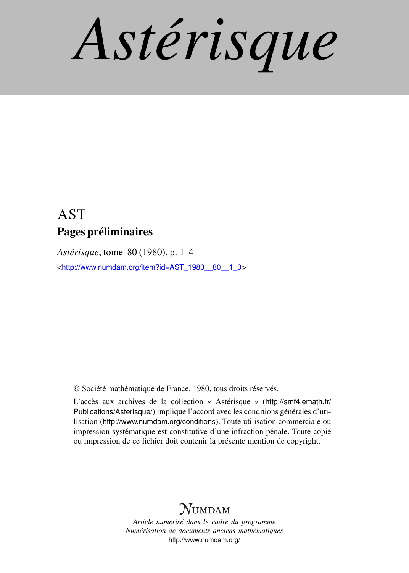*Astérisque*

## AST Pages préliminaires

*Astérisque*, tome 80 (1980), p. 1-4

<[http://www.numdam.org/item?id=AST\\_1980\\_\\_80\\_\\_1\\_0](http://www.numdam.org/item?id=AST_1980__80__1_0)>

© Société mathématique de France, 1980, tous droits réservés.

L'accès aux archives de la collection « Astérisque » ([http://smf4.emath.fr/](http://smf4.emath.fr/Publications/Asterisque/) [Publications/Asterisque/](http://smf4.emath.fr/Publications/Asterisque/)) implique l'accord avec les conditions générales d'utilisation (<http://www.numdam.org/conditions>). Toute utilisation commerciale ou impression systématique est constitutive d'une infraction pénale. Toute copie ou impression de ce fichier doit contenir la présente mention de copyright.

# **NUMDAM**

*Article numérisé dans le cadre du programme Numérisation de documents anciens mathématiques* <http://www.numdam.org/>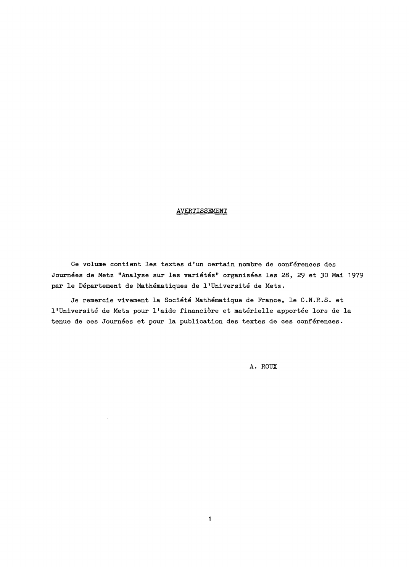### **AVERTISSEMENT**

**Ce volume contient les textes d<sup>f</sup> un certain nombre de conférences des Journées de Metz "Analyse sur les variétés" organisées les 28, 29 et 30 Mai 1979 par le Département de Mathématiques de l1Université de Metz.** 

**Je remercie vivement la Société Mathématique de France, le C.N.R.S. et l'Université de Metz pour lfaide financière et matérielle apportée lors de la tenue de ces Journées et pour la publication des textes de ces conférences.** 

**A. ROUX**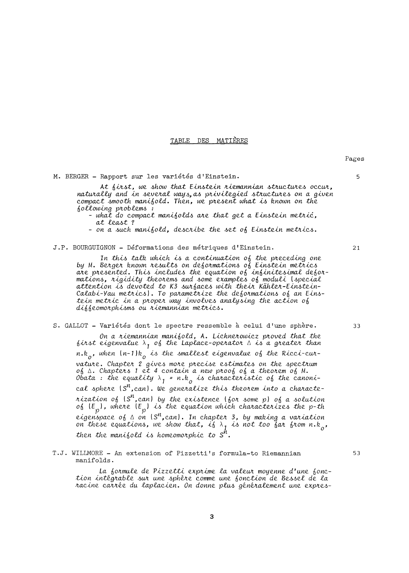#### TABLE DES MATIÈRES

M. BERGER - Rapport sur les variétés d'Einstein.

At first, we show that Einstein riemannian structures occur, naturally and in several ways, as privilegied structures on a given compact smooth manifold. Then, we present what is known on the following problems:

- what do compact manifolds are that get a Einstein metric, at least?

- on a such manifold, describe the set of Einstein metrics.

#### J.P. BOURGUIGNON - Déformations des métriques d'Einstein.

In this talk which is a continuation of the preceding one by M. Berger known results on deformations of Einstein metrics are presented. This includes the equation of infinitesimal deformations, rigidity theorems and some examples of moduli (special attention is devoted to K3 surfaces with their Kähler-Einstein-<br>Calabi-Yau metrics). To parametrize the deformations of an Einstein metric in a proper way involves analysing the action of diffeomorphisms ou riemannian metrics.

### S. GALLOT - Variétés dont le spectre ressemble à celui d'une sphère.

On a riemannian manifold, A. Lichnerowicz proved that the<br>first eigenvalue  $\lambda_1$  of the Laplace-operator  $\Delta$  is a greater than  $n.k_o$ , when  $(n-1)k_o$  is the smallest eigenvalue of the Ricci-curvature. Chapter 2 gives more precise estimates on the spectrum of △ Chapters 1 et 4 contain a new proof of a theorem of M. Obata: the equality  $\lambda_1$  = n.k<sub>o</sub> is characteristic of the canonical sphere  $S^n$ , can). We generalize this theorem into a charactenization of  $(S^n, can)$  by the existence  $\{ \delta \circ n \leq n \}$  of a solution of  $\{E_p\}$ , where  $\{E_p\}$  is the equation which characterizes the p-th eigenspace of  $\triangle$  on  $(S^n, can)$ . In chapter 3, by making a variation<br>on these equations, we show that, if  $\lambda_1$  is not too far from n.k<sub>o</sub>, then the manifold is homeomorphic to  $S^h$ .

#### T.J. WILLMORE - An extension of Pizzetti's formula-to Riemannian manifolds.

La formule de Pizzetti exprime la valeur moyenne d'une fonction intégrable sur une sphère comme une fonction de Bessel de la racine carrée du laplacien. On donne plus généralement une expres-

3

Pages

5

 $21$ 

33

53